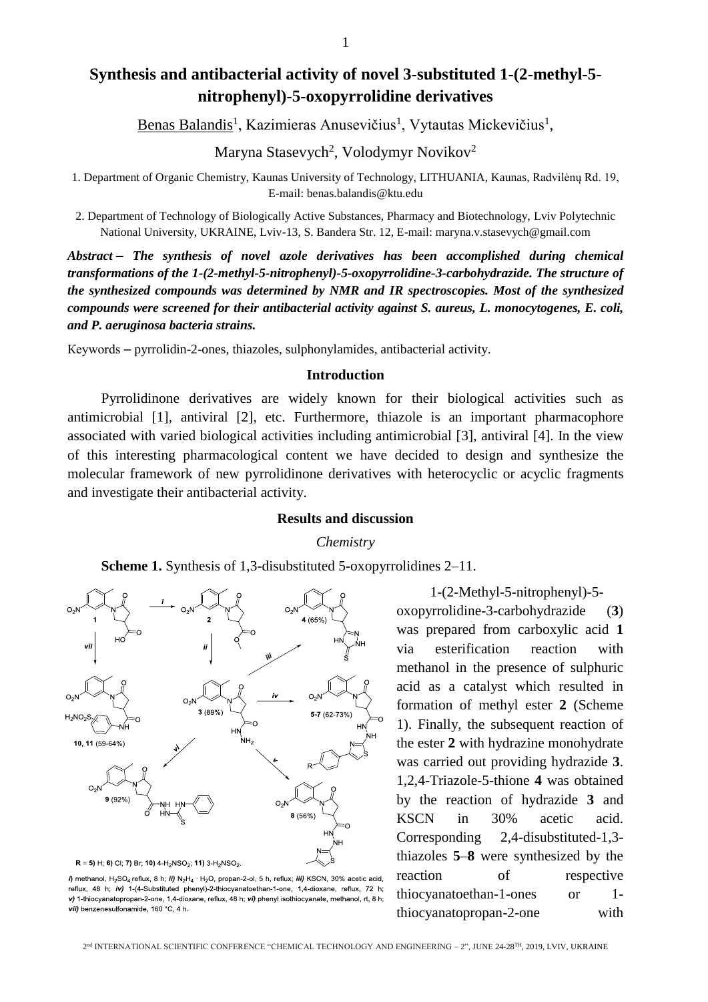# **Synthesis and antibacterial activity of novel 3-substituted 1-(2-methyl-5 nitrophenyl)-5-oxopyrrolidine derivatives**

Benas Balandis<sup>1</sup>, Kazimieras Anusevičius<sup>1</sup>, Vytautas Mickevičius<sup>1</sup>,

Maryna Stasevych<sup>2</sup>, Volodymyr Novikov<sup>2</sup>

1. Department of Organic Chemistry, Kaunas University of Technology, LITHUANIA, Kaunas, Radvilėnų Rd. 19, E-mail: benas.balandis@ktu.edu

2. Department of Technology of Biologically Active Substances, Pharmacy and Biotechnology, Lviv Polytechnic National University, UKRAINE, Lviv-13, S. Bandera Str. 12, E-mail: maryna.v.stasevych@gmail.com

*Abstract – The synthesis of novel azole derivatives has been accomplished during chemical transformations of the 1-(2-methyl-5-nitrophenyl)-5-oxopyrrolidine-3-carbohydrazide. The structure of the synthesized compounds was determined by NMR and IR spectroscopies. Most of the synthesized compounds were screened for their antibacterial activity against S. aureus, L. monocytogenes, E. coli, and P. aeruginosa bacteria strains.*

Кеуwords – pyrrolidin-2-ones, thiazoles, sulphonylamides, antibacterial activity.

## **Introduction**

Pyrrolidinone derivatives are widely known for their biological activities such as antimicrobial [1], antiviral [2], etc. Furthermore, thiazole is an important pharmacophore associated with varied biological activities including antimicrobial [3], antiviral [4]. In the view of this interesting pharmacological content we have decided to design and synthesize the molecular framework of new pyrrolidinone derivatives with heterocyclic or acyclic fragments and investigate their antibacterial activity.

# **Results and discussion**

*Chemistry*





i) methanol,  $H_2SO_4$  reflux, 8 h; ii) N<sub>2</sub>H<sub>4</sub> H<sub>2</sub>O, propan-2-ol, 5 h, reflux; iii) KSCN, 30% acetic acid, reflux, 48 h; iv) 1-(4-Substituted phenyl)-2-thiocyanatoethan-1-one, 1,4-dioxane, reflux, 72 h; v) 1-thiocyanatopropan-2-one, 1,4-dioxane, reflux, 48 h; vi) phenyl isothiocyanate, methanol, rt, 8 h; vii) benzenesulfonamide, 160 °C, 4 h.

1-(2-Methyl-5-nitrophenyl)-5 oxopyrrolidine-3-carbohydrazide (**3**) was prepared from carboxylic acid **1** via esterification reaction with methanol in the presence of sulphuric acid as a catalyst which resulted in formation of methyl ester **2** (Scheme 1). Finally, the subsequent reaction of the ester **2** with hydrazine monohydrate was carried out providing hydrazide **3**. 1,2,4-Triazole-5-thione **4** was obtained by the reaction of hydrazide **3** and KSCN in 30% acetic acid. Corresponding 2,4-disubstituted-1,3 thiazoles **5**–**8** were synthesized by the reaction of respective thiocyanatoethan-1-ones or 1 thiocyanatopropan-2-one with